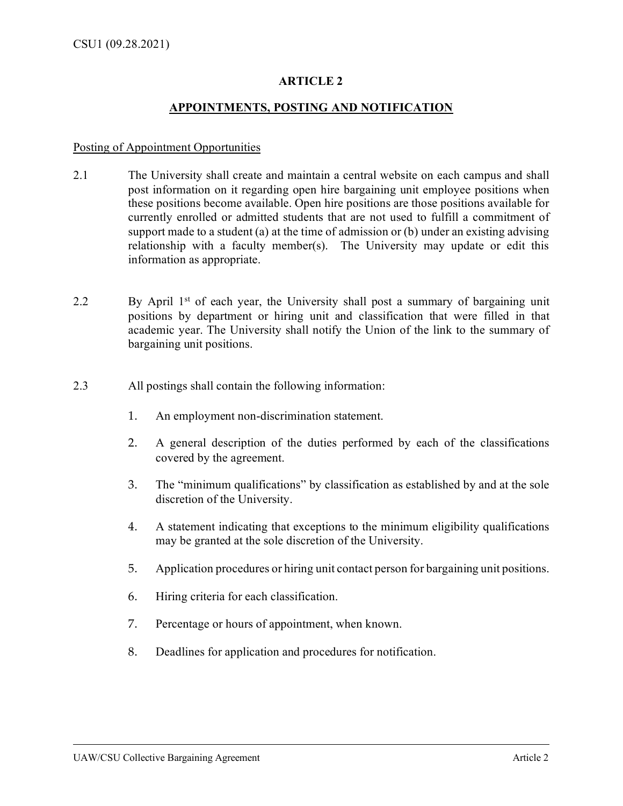# **ARTICLE 2**

# **APPOINTMENTS, POSTING AND NOTIFICATION**

#### Posting of Appointment Opportunities

- 2.1 The University shall create and maintain a central website on each campus and shall post information on it regarding open hire bargaining unit employee positions when these positions become available. Open hire positions are those positions available for currently enrolled or admitted students that are not used to fulfill a commitment of support made to a student (a) at the time of admission or (b) under an existing advising relationship with a faculty member(s). The University may update or edit this information as appropriate.
- 2.2 By April 1<sup>st</sup> of each year, the University shall post a summary of bargaining unit positions by department or hiring unit and classification that were filled in that academic year. The University shall notify the Union of the link to the summary of bargaining unit positions.
- 2.3 All postings shall contain the following information:
	- 1. An employment non-discrimination statement.
	- 2. A general description of the duties performed by each of the classifications covered by the agreement.
	- 3. The "minimum qualifications" by classification as established by and at the sole discretion of the University.
	- 4. A statement indicating that exceptions to the minimum eligibility qualifications may be granted at the sole discretion of the University.
	- 5. Application procedures or hiring unit contact person for bargaining unit positions.
	- 6. Hiring criteria for each classification.
	- 7. Percentage or hours of appointment, when known.
	- 8. Deadlines for application and procedures for notification.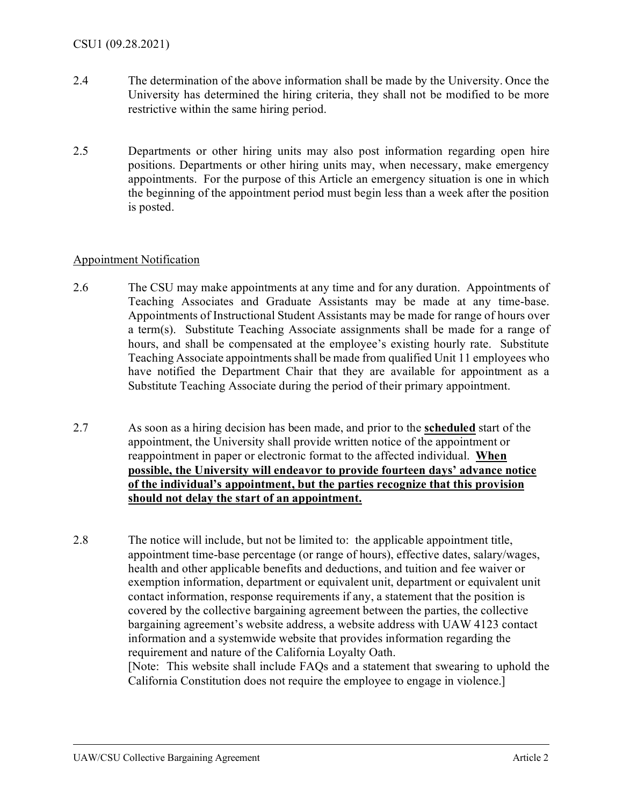- 2.4 The determination of the above information shall be made by the University. Once the University has determined the hiring criteria, they shall not be modified to be more restrictive within the same hiring period.
- 2.5 Departments or other hiring units may also post information regarding open hire positions. Departments or other hiring units may, when necessary, make emergency appointments. For the purpose of this Article an emergency situation is one in which the beginning of the appointment period must begin less than a week after the position is posted.

## Appointment Notification

- 2.6 The CSU may make appointments at any time and for any duration. Appointments of Teaching Associates and Graduate Assistants may be made at any time-base. Appointments of Instructional Student Assistants may be made for range of hours over a term(s). Substitute Teaching Associate assignments shall be made for a range of hours, and shall be compensated at the employee's existing hourly rate. Substitute Teaching Associate appointments shall be made from qualified Unit 11 employees who have notified the Department Chair that they are available for appointment as a Substitute Teaching Associate during the period of their primary appointment.
- 2.7 As soon as a hiring decision has been made, and prior to the **scheduled** start of the appointment, the University shall provide written notice of the appointment or reappointment in paper or electronic format to the affected individual. **When possible, the University will endeavor to provide fourteen days' advance notice of the individual's appointment, but the parties recognize that this provision should not delay the start of an appointment.**

2.8 The notice will include, but not be limited to: the applicable appointment title, appointment time-base percentage (or range of hours), effective dates, salary/wages, health and other applicable benefits and deductions, and tuition and fee waiver or exemption information, department or equivalent unit, department or equivalent unit contact information, response requirements if any, a statement that the position is covered by the collective bargaining agreement between the parties, the collective bargaining agreement's website address, a website address with UAW 4123 contact information and a systemwide website that provides information regarding the requirement and nature of the California Loyalty Oath. [Note: This website shall include FAQs and a statement that swearing to uphold the California Constitution does not require the employee to engage in violence.]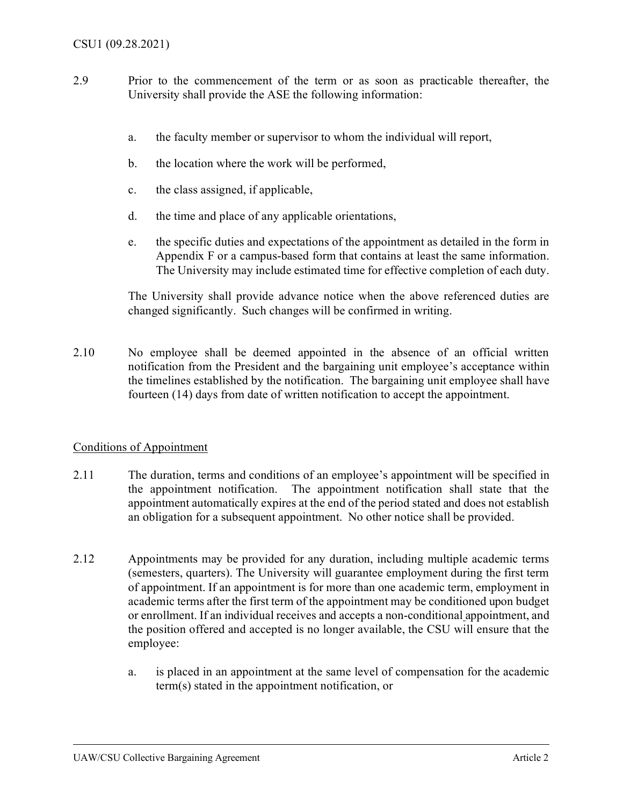- 2.9 Prior to the commencement of the term or as soon as practicable thereafter, the University shall provide the ASE the following information:
	- a. the faculty member or supervisor to whom the individual will report,
	- b. the location where the work will be performed,
	- c. the class assigned, if applicable,
	- d. the time and place of any applicable orientations,
	- e. the specific duties and expectations of the appointment as detailed in the form in Appendix F or a campus-based form that contains at least the same information. The University may include estimated time for effective completion of each duty.

The University shall provide advance notice when the above referenced duties are changed significantly. Such changes will be confirmed in writing.

2.10 No employee shall be deemed appointed in the absence of an official written notification from the President and the bargaining unit employee's acceptance within the timelines established by the notification. The bargaining unit employee shall have fourteen (14) days from date of written notification to accept the appointment.

## Conditions of Appointment

- 2.11 The duration, terms and conditions of an employee's appointment will be specified in the appointment notification. The appointment notification shall state that the appointment automatically expires at the end of the period stated and does not establish an obligation for a subsequent appointment. No other notice shall be provided.
- 2.12 Appointments may be provided for any duration, including multiple academic terms (semesters, quarters). The University will guarantee employment during the first term of appointment. If an appointment is for more than one academic term, employment in academic terms after the first term of the appointment may be conditioned upon budget or enrollment. If an individual receives and accepts a non-conditional appointment, and the position offered and accepted is no longer available, the CSU will ensure that the employee:
	- a. is placed in an appointment at the same level of compensation for the academic term(s) stated in the appointment notification, or